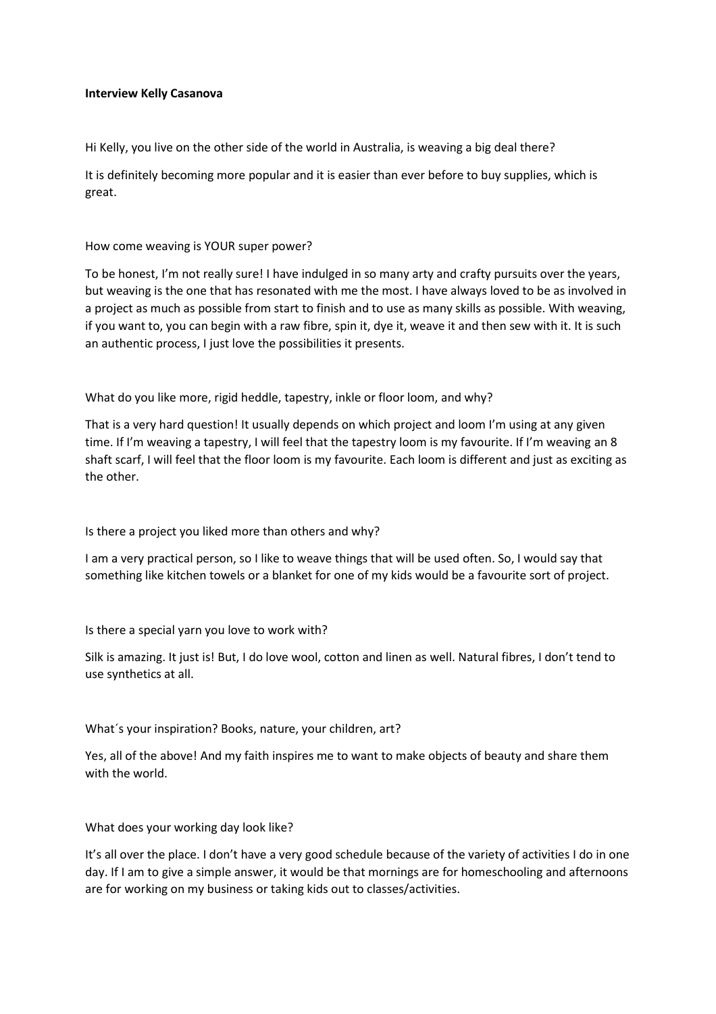## **Interview Kelly Casanova**

Hi Kelly, you live on the other side of the world in Australia, is weaving a big deal there?

It is definitely becoming more popular and it is easier than ever before to buy supplies, which is great.

## How come weaving is YOUR super power?

To be honest, I'm not really sure! I have indulged in so many arty and crafty pursuits over the years, but weaving is the one that has resonated with me the most. I have always loved to be as involved in a project as much as possible from start to finish and to use as many skills as possible. With weaving, if you want to, you can begin with a raw fibre, spin it, dye it, weave it and then sew with it. It is such an authentic process, I just love the possibilities it presents.

What do you like more, rigid heddle, tapestry, inkle or floor loom, and why?

That is a very hard question! It usually depends on which project and loom I'm using at any given time. If I'm weaving a tapestry, I will feel that the tapestry loom is my favourite. If I'm weaving an 8 shaft scarf, I will feel that the floor loom is my favourite. Each loom is different and just as exciting as the other.

Is there a project you liked more than others and why?

I am a very practical person, so I like to weave things that will be used often. So, I would say that something like kitchen towels or a blanket for one of my kids would be a favourite sort of project.

Is there a special yarn you love to work with?

Silk is amazing. It just is! But, I do love wool, cotton and linen as well. Natural fibres, I don't tend to use synthetics at all.

What´s your inspiration? Books, nature, your children, art?

Yes, all of the above! And my faith inspires me to want to make objects of beauty and share them with the world.

## What does your working day look like?

It's all over the place. I don't have a very good schedule because of the variety of activities I do in one day. If I am to give a simple answer, it would be that mornings are for homeschooling and afternoons are for working on my business or taking kids out to classes/activities.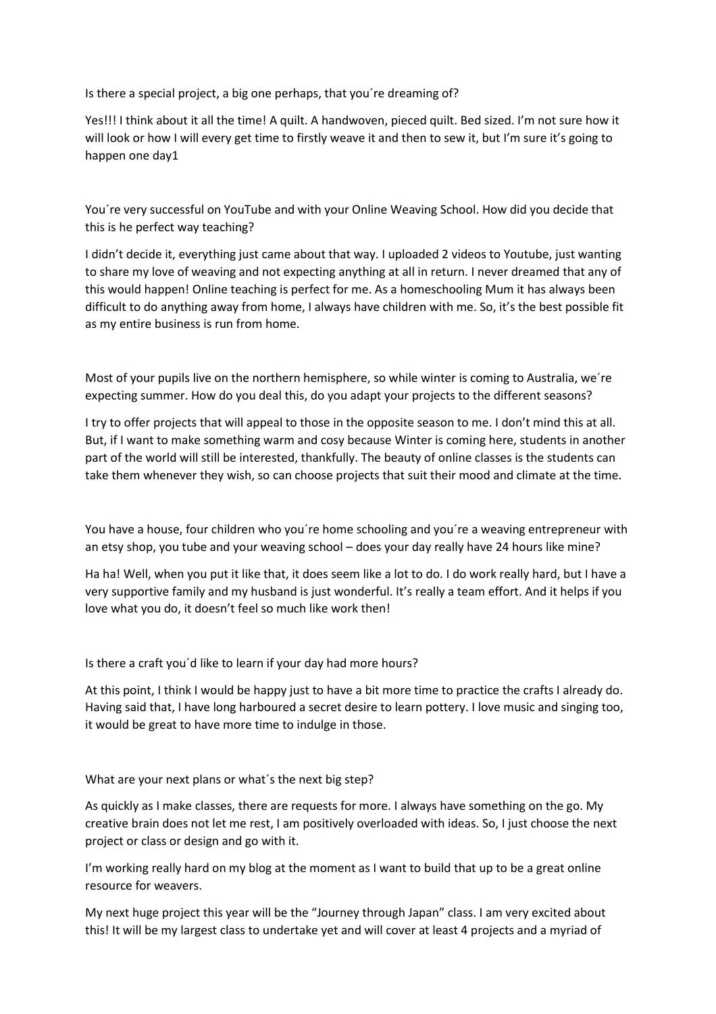Is there a special project, a big one perhaps, that you´re dreaming of?

Yes!!! I think about it all the time! A quilt. A handwoven, pieced quilt. Bed sized. I'm not sure how it will look or how I will every get time to firstly weave it and then to sew it, but I'm sure it's going to happen one day1

You´re very successful on YouTube and with your Online Weaving School. How did you decide that this is he perfect way teaching?

I didn't decide it, everything just came about that way. I uploaded 2 videos to Youtube, just wanting to share my love of weaving and not expecting anything at all in return. I never dreamed that any of this would happen! Online teaching is perfect for me. As a homeschooling Mum it has always been difficult to do anything away from home, I always have children with me. So, it's the best possible fit as my entire business is run from home.

Most of your pupils live on the northern hemisphere, so while winter is coming to Australia, we´re expecting summer. How do you deal this, do you adapt your projects to the different seasons?

I try to offer projects that will appeal to those in the opposite season to me. I don't mind this at all. But, if I want to make something warm and cosy because Winter is coming here, students in another part of the world will still be interested, thankfully. The beauty of online classes is the students can take them whenever they wish, so can choose projects that suit their mood and climate at the time.

You have a house, four children who you´re home schooling and you´re a weaving entrepreneur with an etsy shop, you tube and your weaving school – does your day really have 24 hours like mine?

Ha ha! Well, when you put it like that, it does seem like a lot to do. I do work really hard, but I have a very supportive family and my husband is just wonderful. It's really a team effort. And it helps if you love what you do, it doesn't feel so much like work then!

Is there a craft you´d like to learn if your day had more hours?

At this point, I think I would be happy just to have a bit more time to practice the crafts I already do. Having said that, I have long harboured a secret desire to learn pottery. I love music and singing too, it would be great to have more time to indulge in those.

What are your next plans or what´s the next big step?

As quickly as I make classes, there are requests for more. I always have something on the go. My creative brain does not let me rest, I am positively overloaded with ideas. So, I just choose the next project or class or design and go with it.

I'm working really hard on my blog at the moment as I want to build that up to be a great online resource for weavers.

My next huge project this year will be the "Journey through Japan" class. I am very excited about this! It will be my largest class to undertake yet and will cover at least 4 projects and a myriad of